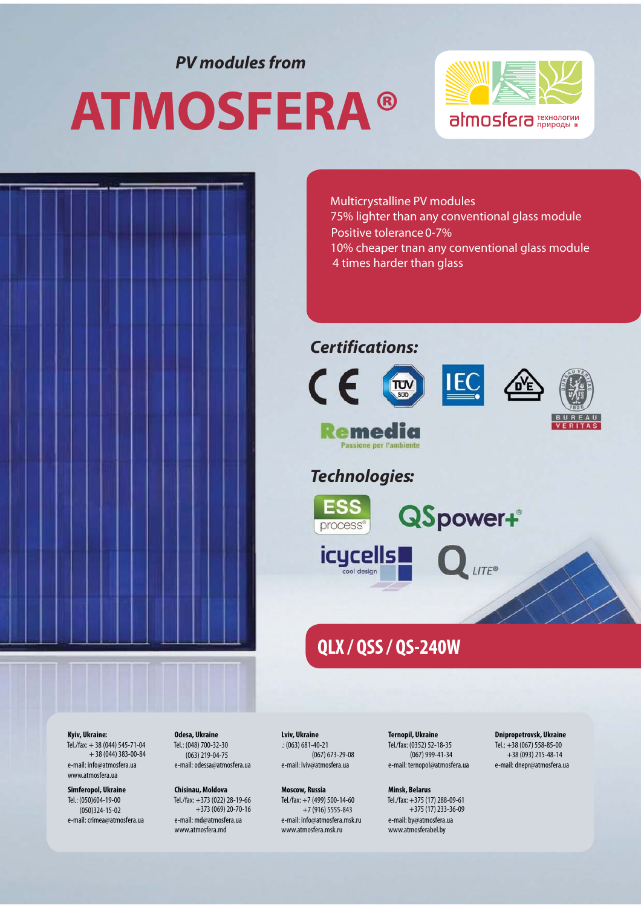*PV modules from*

# **ATMOSFERA ®**





Multicrystalline PV modules 75% lighter than any conventional glass module Positive tolerance 0-7% 10% cheaper tnan any conventional glass module

4 times harder than glass

#### *Certifications:*







#### *Technologies:*



**QSpower+**®



## **QLX / QSS / QS-240W**

**Kyiv, Ukraine:**

Tel./fax: + 38 (044) 545-71-04  $+ 38 (044) 383 - 00 - 84$ e-mail: info@atmosfera.ua www.atmosfera.ua

**Simferopol, Ukraine** Tel.: (050)604-19-00 (050)324-15-02 e-mail: crimea@atmosfera.ua **Odesa, Ukraine** Tel.: (048) 700-32-30 (063) 219-04-75 e-mail: odessa@atmosfera.ua

**Chisinau, Moldova** Tel./fax: +373 (022) 28-19-66 +373 (069) 20-70-16 e-mail: md@atmosfera.ua www.atmosfera.md

**Lviv, Ukraine** .: (063) 681-40-21 (067) 673-29-08 e-mail: lviv@atmosfera.ua

**Moscow, Russia** Tel./fax: +7 (499) 500-14-60 +7 (916) 5555-843 e-mail: info@atmosfera.msk.ru www.atmosfera.msk.ru

**Ternopil, Ukraine** Tel./fax: (0352) 52-18-35 (067) 999-41-34 e-mail: ternopol@atmosfera.ua

**Minsk, Belarus** Tel./fax: +375 (17) 288-09-61  $+375(17)$  233-36-09 e-mail: by@atmosfera.ua www.atmosferabel.by

**Dnipropetrovsk, Ukraine** Tel.: +38 (067) 558-85-00 +38 (093) 215-48-14 e-mail: dnepr@atmosfera.ua